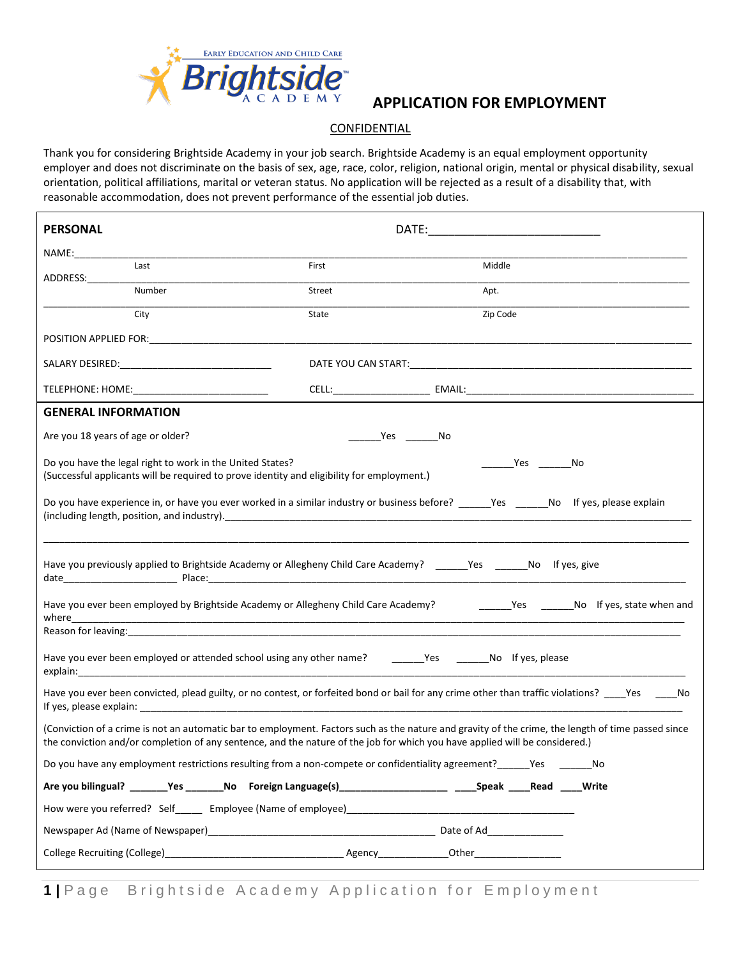

## **APPLICATION FOR EMPLOYMENT**

## **CONFIDENTIAL**

Thank you for considering Brightside Academy in your job search. Brightside Academy is an equal employment opportunity employer and does not discriminate on the basis of sex, age, race, color, religion, national origin, mental or physical disability, sexual orientation, political affiliations, marital or veteran status. No application will be rejected as a result of a disability that, with reasonable accommodation, does not prevent performance of the essential job duties.

| <b>PERSONAL</b>                                                                                                                                                                                                                                                                   |        |                                                                                                                                                  |  |
|-----------------------------------------------------------------------------------------------------------------------------------------------------------------------------------------------------------------------------------------------------------------------------------|--------|--------------------------------------------------------------------------------------------------------------------------------------------------|--|
| NAME: and the state of the state of the state of the state of the state of the state of the state of the state of the state of the state of the state of the state of the state of the state of the state of the state of the                                                     |        |                                                                                                                                                  |  |
| Last                                                                                                                                                                                                                                                                              | First  | Middle                                                                                                                                           |  |
| Number                                                                                                                                                                                                                                                                            | Street | Apt.                                                                                                                                             |  |
| City                                                                                                                                                                                                                                                                              | State  | Zip Code                                                                                                                                         |  |
|                                                                                                                                                                                                                                                                                   |        |                                                                                                                                                  |  |
|                                                                                                                                                                                                                                                                                   |        |                                                                                                                                                  |  |
| TELEPHONE: HOME: _____________________________                                                                                                                                                                                                                                    |        |                                                                                                                                                  |  |
| <b>GENERAL INFORMATION</b>                                                                                                                                                                                                                                                        |        |                                                                                                                                                  |  |
| Are you 18 years of age or older?                                                                                                                                                                                                                                                 | Yes No |                                                                                                                                                  |  |
| Do you have the legal right to work in the United States?<br>(Successful applicants will be required to prove identity and eligibility for employment.)                                                                                                                           |        | No Ves                                                                                                                                           |  |
| Do you have experience in, or have you ever worked in a similar industry or business before? _____Yes _____No If yes, please explain                                                                                                                                              |        |                                                                                                                                                  |  |
| Have you previously applied to Brightside Academy or Allegheny Child Care Academy? ______Yes _______No If yes, give                                                                                                                                                               |        |                                                                                                                                                  |  |
|                                                                                                                                                                                                                                                                                   |        | Have you ever been employed by Brightside Academy or Allegheny Child Care Academy? _______Yes ______No lf yes, state when and                    |  |
|                                                                                                                                                                                                                                                                                   |        |                                                                                                                                                  |  |
| Have you ever been employed or attended school using any other name? ______Yes ______No lf yes, please                                                                                                                                                                            |        |                                                                                                                                                  |  |
|                                                                                                                                                                                                                                                                                   |        | Have you ever been convicted, plead guilty, or no contest, or forfeited bond or bail for any crime other than traffic violations? ___ Yes ____No |  |
| (Conviction of a crime is not an automatic bar to employment. Factors such as the nature and gravity of the crime, the length of time passed since<br>the conviction and/or completion of any sentence, and the nature of the job for which you have applied will be considered.) |        |                                                                                                                                                  |  |
| Do you have any employment restrictions resulting from a non-compete or confidentiality agreement? ______Yes _______No                                                                                                                                                            |        |                                                                                                                                                  |  |
| Are you bilingual? _______Yes _______No Foreign Language(s)______________________ _____Speak ____Read ____Write                                                                                                                                                                   |        |                                                                                                                                                  |  |
|                                                                                                                                                                                                                                                                                   |        |                                                                                                                                                  |  |
|                                                                                                                                                                                                                                                                                   |        |                                                                                                                                                  |  |
|                                                                                                                                                                                                                                                                                   |        |                                                                                                                                                  |  |

**1** | Page Brightside Academy Application for Employment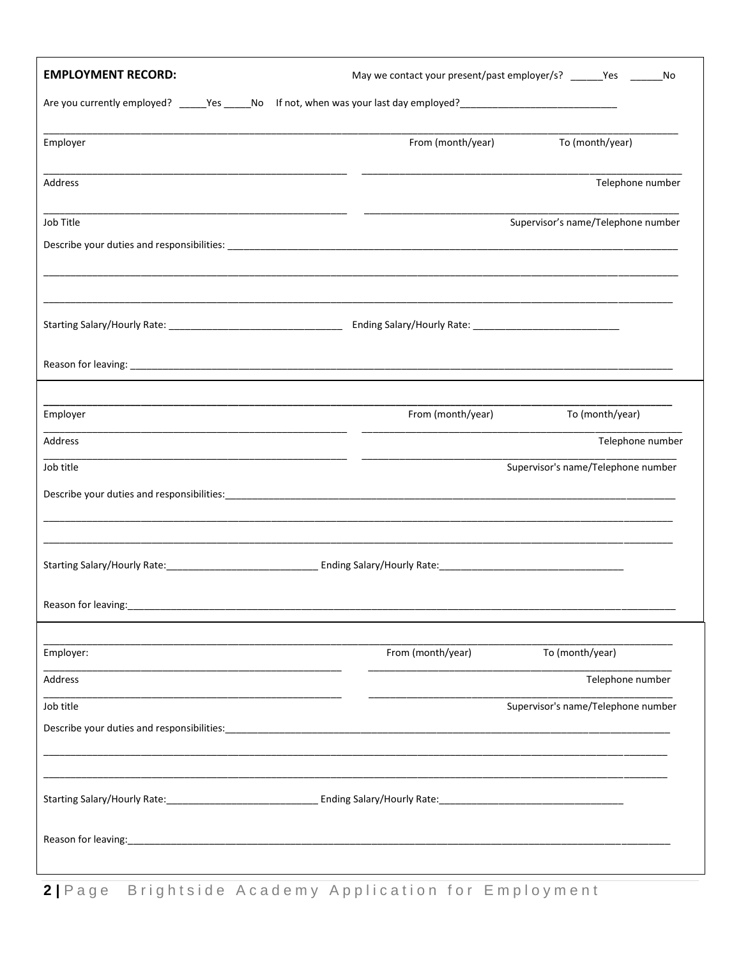| <b>EMPLOYMENT RECORD:</b>                                                                                      | May we contact your present/past employer/s? ______Yes ______<br>No |
|----------------------------------------------------------------------------------------------------------------|---------------------------------------------------------------------|
| Are you currently employed? _____Yes _____No If not, when was your last day employed? ________________________ |                                                                     |
| Employer                                                                                                       | To (month/year)<br>From (month/year)                                |
| Address                                                                                                        | Telephone number                                                    |
| Job Title                                                                                                      | Supervisor's name/Telephone number                                  |
|                                                                                                                |                                                                     |
|                                                                                                                |                                                                     |
|                                                                                                                |                                                                     |
|                                                                                                                |                                                                     |
|                                                                                                                |                                                                     |
| Employer                                                                                                       | From (month/year)<br>To (month/year)                                |
| Address                                                                                                        | Telephone number                                                    |
| Job title                                                                                                      | Supervisor's name/Telephone number                                  |
|                                                                                                                |                                                                     |
|                                                                                                                |                                                                     |
|                                                                                                                |                                                                     |
| Reason for leaving:<br><u>[</u> [11][12] Reason for leaving:                                                   |                                                                     |
| Employer:                                                                                                      | From (month/year)<br>To (month/year)                                |
| Address                                                                                                        | Telephone number                                                    |
| Job title                                                                                                      | Supervisor's name/Telephone number                                  |
|                                                                                                                |                                                                     |
|                                                                                                                |                                                                     |
|                                                                                                                |                                                                     |
|                                                                                                                |                                                                     |
|                                                                                                                |                                                                     |

2| Page Brightside Academy Application for Employment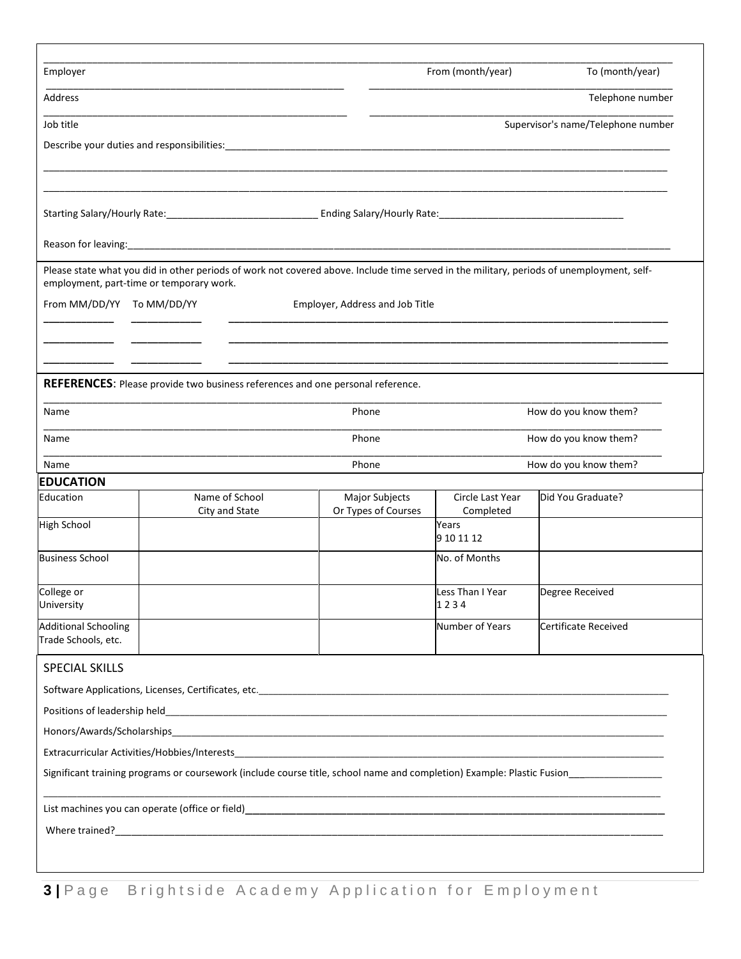| Employer                                                                                                          |                                                                                                                                           |                                       | From (month/year)             | To (month/year)                    |  |
|-------------------------------------------------------------------------------------------------------------------|-------------------------------------------------------------------------------------------------------------------------------------------|---------------------------------------|-------------------------------|------------------------------------|--|
| Address                                                                                                           |                                                                                                                                           |                                       |                               | Telephone number                   |  |
| Job title                                                                                                         |                                                                                                                                           |                                       |                               | Supervisor's name/Telephone number |  |
|                                                                                                                   |                                                                                                                                           |                                       |                               |                                    |  |
|                                                                                                                   |                                                                                                                                           |                                       |                               |                                    |  |
|                                                                                                                   |                                                                                                                                           |                                       |                               |                                    |  |
|                                                                                                                   |                                                                                                                                           |                                       |                               |                                    |  |
|                                                                                                                   |                                                                                                                                           |                                       |                               |                                    |  |
|                                                                                                                   | Please state what you did in other periods of work not covered above. Include time served in the military, periods of unemployment, self- |                                       |                               |                                    |  |
| employment, part-time or temporary work.                                                                          |                                                                                                                                           |                                       |                               |                                    |  |
| From MM/DD/YY To MM/DD/YY                                                                                         |                                                                                                                                           | Employer, Address and Job Title       |                               |                                    |  |
|                                                                                                                   |                                                                                                                                           |                                       |                               |                                    |  |
|                                                                                                                   |                                                                                                                                           |                                       |                               |                                    |  |
|                                                                                                                   |                                                                                                                                           |                                       |                               |                                    |  |
|                                                                                                                   | <b>REFERENCES:</b> Please provide two business references and one personal reference.                                                     |                                       |                               |                                    |  |
| Name                                                                                                              |                                                                                                                                           | Phone                                 |                               | How do you know them?              |  |
| Name                                                                                                              |                                                                                                                                           | How do you know them?<br>Phone        |                               |                                    |  |
|                                                                                                                   |                                                                                                                                           | Phone                                 |                               | How do you know them?              |  |
|                                                                                                                   |                                                                                                                                           |                                       |                               |                                    |  |
|                                                                                                                   |                                                                                                                                           |                                       |                               |                                    |  |
|                                                                                                                   | Name of School<br>City and State                                                                                                          | Major Subjects<br>Or Types of Courses | Circle Last Year<br>Completed | Did You Graduate?                  |  |
|                                                                                                                   |                                                                                                                                           |                                       | Years<br>9 10 11 12           |                                    |  |
|                                                                                                                   |                                                                                                                                           |                                       | No. of Months                 |                                    |  |
|                                                                                                                   |                                                                                                                                           |                                       |                               |                                    |  |
| Name<br><b>EDUCATION</b><br>Education<br><b>High School</b><br><b>Business School</b><br>College or<br>University |                                                                                                                                           |                                       | Less Than I Year<br>1234      | Degree Received                    |  |
|                                                                                                                   |                                                                                                                                           |                                       | Number of Years               | Certificate Received               |  |
|                                                                                                                   |                                                                                                                                           |                                       |                               |                                    |  |
|                                                                                                                   |                                                                                                                                           |                                       |                               |                                    |  |
|                                                                                                                   |                                                                                                                                           |                                       |                               |                                    |  |
|                                                                                                                   |                                                                                                                                           |                                       |                               |                                    |  |
|                                                                                                                   |                                                                                                                                           |                                       |                               |                                    |  |
|                                                                                                                   |                                                                                                                                           |                                       |                               |                                    |  |
|                                                                                                                   | Significant training programs or coursework (include course title, school name and completion) Example: Plastic Fusion                    |                                       |                               |                                    |  |
| <b>Additional Schooling</b><br>Trade Schools, etc.<br><b>SPECIAL SKILLS</b>                                       |                                                                                                                                           |                                       |                               |                                    |  |
|                                                                                                                   |                                                                                                                                           |                                       |                               |                                    |  |